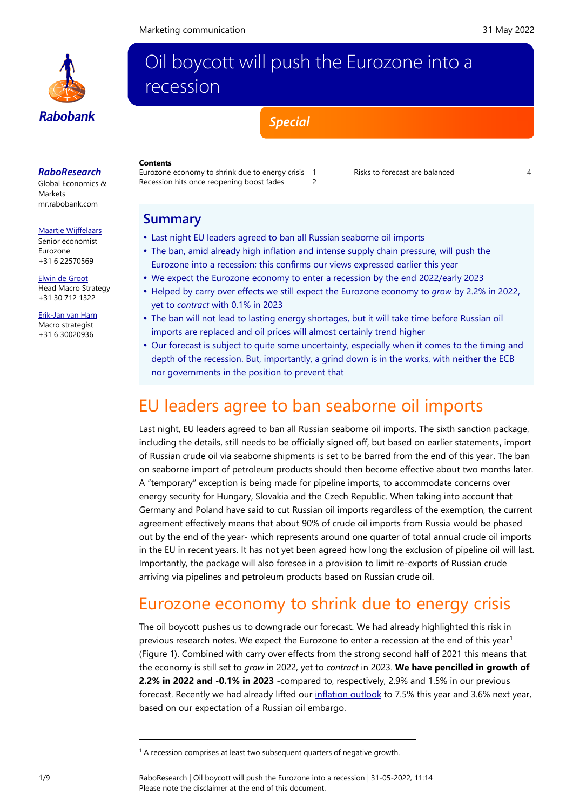

## Oil boycott will push the Eurozone into a recession

*Special*

## *RaboResearch*

Global Economics & Markets [mr.rabobank.com](http://mr.rabobank.com/)

#### [Maartje Wijffelaars](mailto:Maartje.wijffelaars@rabobank.nl)

Senior economist Eurozone +31 6 22570569

[Elwin de Groot](mailto:Elwin.de.Groot@rabobank.com)

Head Macro Strategy +31 30 712 1322

[Erik-Jan van Harn](mailto:Erik-Jan.van.Harn@rabobank.nl) Macro strategist +31 6 30020936

#### **Contents** [Eurozone economy to shrink due to energy crisis](#page-0-0) 1

[Recession hits once reopening boost fades](#page-1-0) 2

[Risks to forecast are balanced](#page-3-0)

## **Summary**

- Last night EU leaders agreed to ban all Russian seaborne oil imports
- The ban, amid already high inflation and intense supply chain pressure, will push the Eurozone into a recession; this confirms our views expressed earlier this year
- We expect the Eurozone economy to enter a recession by the end 2022/early 2023
- Helped by carry over effects we still expect the Eurozone economy to *grow* by 2.2% in 2022, yet to *contract* with 0.1% in 2023
- The ban will not lead to lasting energy shortages, but it will take time before Russian oil imports are replaced and oil prices will almost certainly trend higher
- Our forecast is subject to quite some uncertainty, especially when it comes to the timing and depth of the recession. But, importantly, a grind down is in the works, with neither the ECB nor governments in the position to prevent that

## <span id="page-0-0"></span>EU leaders agree to ban seaborne oil imports

Last night, EU leaders agreed to ban all Russian seaborne oil imports. The sixth sanction package, including the details, still needs to be officially signed off, but based on earlier statements, import of Russian crude oil via seaborne shipments is set to be barred from the end of this year. The ban on seaborne import of petroleum products should then become effective about two months later. A "temporary" exception is being made for pipeline imports, to accommodate concerns over energy security for Hungary, Slovakia and the Czech Republic. When taking into account that Germany and Poland have said to cut Russian oil imports regardless of the exemption, the current agreement effectively means that about 90% of crude oil imports from Russia would be phased out by the end of the year- which represents around one quarter of total annual crude oil imports in the EU in recent years. It has not yet been agreed how long the exclusion of pipeline oil will last. Importantly, the package will also foresee in a provision to limit re-exports of Russian crude arriving via pipelines and petroleum products based on Russian crude oil.

## Eurozone economy to shrink due to energy crisis

The oil boycott pushes us to downgrade our forecast. We had already highlighted this risk in previous research notes. We expect the Eurozone to enter a recession at the end of this year<sup>1</sup> (Figure 1). Combined with carry over effects from the strong second half of 2021 this means that the economy is still set to *grow* in 2022, yet to *contract* in 2023. **We have pencilled in growth of 2.2% in 2022 and -0.1% in 2023** -compared to, respectively, 2.9% and 1.5% in our previous forecast. Recently we had already lifted our [inflation outlook](https://research.rabobank.com/markets/en/documents/301439_20220511%20Eurozone%20inflation.pdf) to 7.5% this year and 3.6% next year, based on our expectation of a Russian oil embargo.

 $1$  A recession comprises at least two subsequent quarters of negative growth.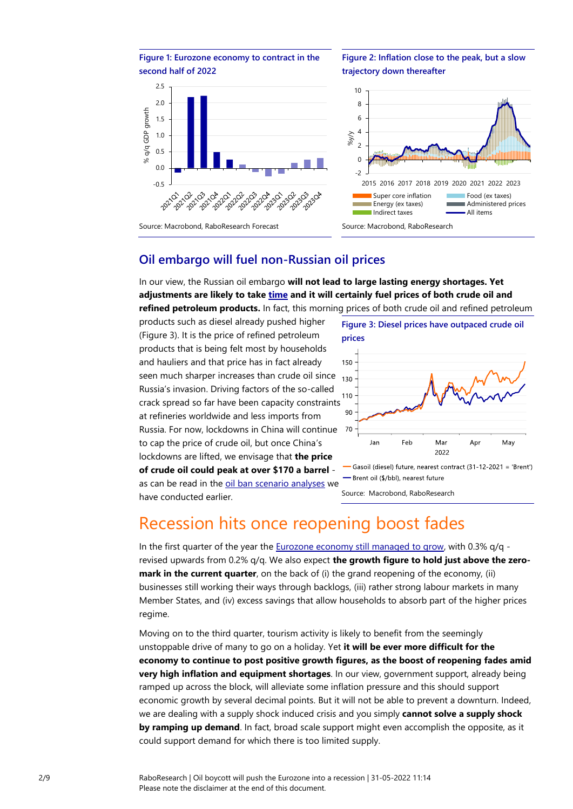

**Figure 2: Inflation close to the peak, but a slow trajectory down thereafter**



## **Oil embargo will fuel non-Russian oil prices**

In our view, the Russian oil embargo **will not lead to large lasting energy shortages. Yet adjustments are likely to take [time](https://economics.rabobank.com/publications/2022/april/ukraine-war-revives-supply-chain-crisis/) and it will certainly fuel prices of both crude oil and refined petroleum products.** In fact, this morning prices of both crude oil and refined petroleum

products such as diesel already pushed higher (Figure 3). It is the price of refined petroleum products that is being felt most by households and hauliers and that price has in fact already seen much sharper increases than crude oil since Russia's invasion. Driving factors of the so-called crack spread so far have been capacity constraints at refineries worldwide and less imports from Russia. For now, lockdowns in China will continue to cap the price of crude oil, but once China's lockdowns are lifted, we envisage that **the price of crude oil could peak at over \$170 a barrel** as can be read in the [oil ban scenario analyses](https://economics.rabobank.com/globalassets/documents/2022/scenario-study-russian-fossil-fuels-20220504.pdf) we have conducted earlier.



Source: Macrobond, RaboResearch

# <span id="page-1-0"></span>Recession hits once reopening boost fades

In the first quarter of the year th[e Eurozone economy still managed to grow,](https://research.rabobank.com/markets/en/documents/301239_FlashGDP22Q1.pdf) with  $0.3\%$  g/g revised upwards from 0.2% q/q. We also expect **the growth figure to hold just above the zeromark in the current quarter**, on the back of (i) the grand reopening of the economy, (ii) businesses still working their ways through backlogs, (iii) rather strong labour markets in many Member States, and (iv) excess savings that allow households to absorb part of the higher prices regime.

Moving on to the third quarter, tourism activity is likely to benefit from the seemingly unstoppable drive of many to go on a holiday. Yet **it will be ever more difficult for the economy to continue to post positive growth figures, as the boost of reopening fades amid very high inflation and equipment shortages**. In our view, government support, already being ramped up across the block, will alleviate some inflation pressure and this should support economic growth by several decimal points. But it will not be able to prevent a downturn. Indeed, we are dealing with a supply shock induced crisis and you simply **cannot solve a supply shock by ramping up demand**. In fact, broad scale support might even accomplish the opposite, as it could support demand for which there is too limited supply.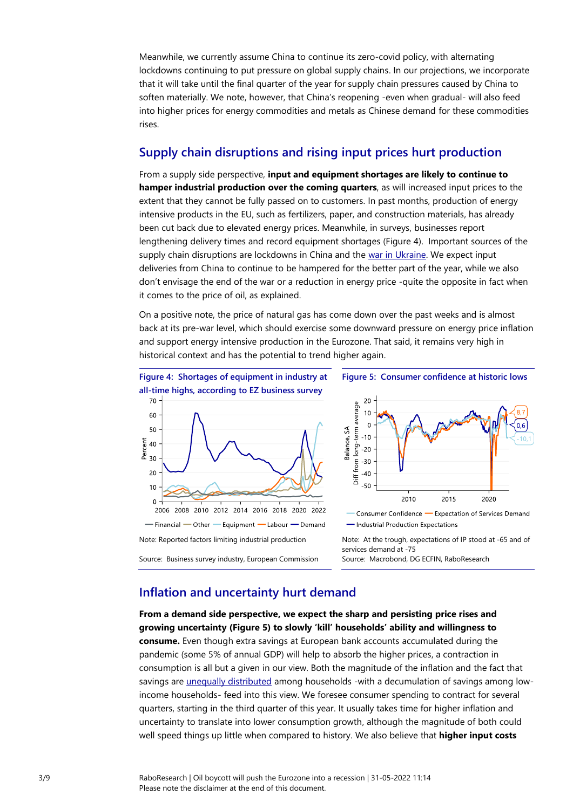Meanwhile, we currently assume China to continue its zero-covid policy, with alternating lockdowns continuing to put pressure on global supply chains. In our projections, we incorporate that it will take until the final quarter of the year for supply chain pressures caused by China to soften materially. We note, however, that China's reopening -even when gradual- will also feed into higher prices for energy commodities and metals as Chinese demand for these commodities rises.

## **Supply chain disruptions and rising input prices hurt production**

From a supply side perspective, **input and equipment shortages are likely to continue to hamper industrial production over the coming quarters**, as will increased input prices to the extent that they cannot be fully passed on to customers. In past months, production of energy intensive products in the EU, such as fertilizers, paper, and construction materials, has already been cut back due to elevated energy prices. Meanwhile, in surveys, businesses report lengthening delivery times and record equipment shortages (Figure 4). Important sources of the supply chain disruptions are lockdowns in China and the [war in Ukraine.](https://economics.rabobank.com/publications/2022/april/ukraine-war-revives-supply-chain-crisis/) We expect input deliveries from China to continue to be hampered for the better part of the year, while we also don't envisage the end of the war or a reduction in energy price -quite the opposite in fact when it comes to the price of oil, as explained.

On a positive note, the price of natural gas has come down over the past weeks and is almost back at its pre-war level, which should exercise some downward pressure on energy price inflation and support energy intensive production in the Eurozone. That said, it remains very high in historical context and has the potential to trend higher again.







- Consumer Confidence - Expectation of Services Demand -Industrial Production Expectations

Note: At the trough, expectations of IP stood at -65 and of services demand at -75 Source: Macrobond, DG ECFIN, RaboResearch

## **Inflation and uncertainty hurt demand**

**From a demand side perspective, we expect the sharp and persisting price rises and growing uncertainty (Figure 5) to slowly 'kill' households' ability and willingness to consume.** Even though extra savings at European bank accounts accumulated during the pandemic (some 5% of annual GDP) will help to absorb the higher prices, a contraction in consumption is all but a given in our view. Both the magnitude of the inflation and the fact that savings ar[e unequally distributed](https://economics.rabobank.com/publications/2021/may/eurozone-pent-up-demand-big-and-decisive-or-over-estimated-and-uncertain/) among households -with a decumulation of savings among lowincome households- feed into this view. We foresee consumer spending to contract for several quarters, starting in the third quarter of this year. It usually takes time for higher inflation and uncertainty to translate into lower consumption growth, although the magnitude of both could well speed things up little when compared to history. We also believe that **higher input costs**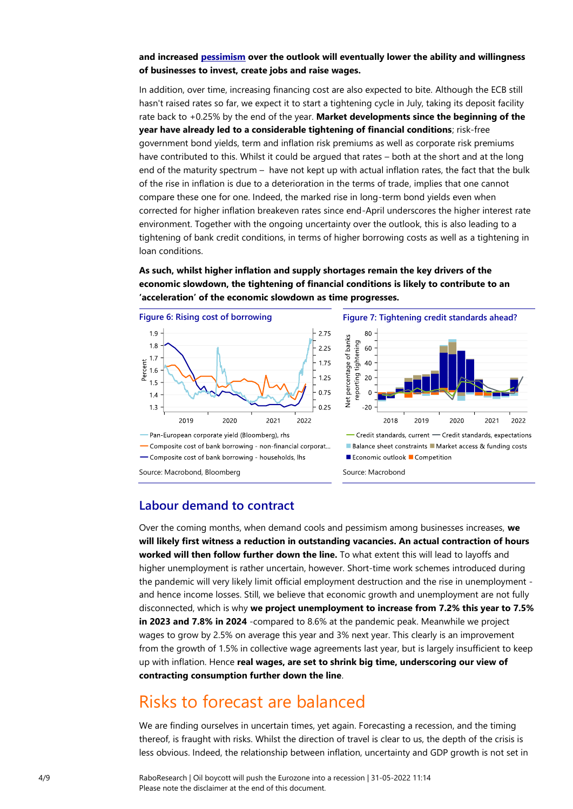#### **and increased [pessimism](https://research.rabobank.com/markets/en/documents/301239_FlashGDP22Q1.pdf) over the outlook will eventually lower the ability and willingness of businesses to invest, create jobs and raise wages.**

In addition, over time, increasing financing cost are also expected to bite. Although the ECB still hasn't raised rates so far, we expect it to start a tightening cycle in July, taking its deposit facility rate back to +0.25% by the end of the year. **Market developments since the beginning of the year have already led to a considerable tightening of financial conditions**; risk-free government bond yields, term and inflation risk premiums as well as corporate risk premiums have contributed to this. Whilst it could be argued that rates – both at the short and at the long end of the maturity spectrum – have not kept up with actual inflation rates, the fact that the bulk of the rise in inflation is due to a deterioration in the terms of trade, implies that one cannot compare these one for one. Indeed, the marked rise in long-term bond yields even when corrected for higher inflation breakeven rates since end-April underscores the higher interest rate environment. Together with the ongoing uncertainty over the outlook, this is also leading to a tightening of bank credit conditions, in terms of higher borrowing costs as well as a tightening in loan conditions.

**As such, whilst higher inflation and supply shortages remain the key drivers of the economic slowdown, the tightening of financial conditions is likely to contribute to an 'acceleration' of the economic slowdown as time progresses.**





#### Source: Macrobond, Bloomberg Source: Macrobond

## **Labour demand to contract**

Over the coming months, when demand cools and pessimism among businesses increases, **we will likely first witness a reduction in outstanding vacancies. An actual contraction of hours worked will then follow further down the line.** To what extent this will lead to layoffs and higher unemployment is rather uncertain, however. Short-time work schemes introduced during the pandemic will very likely limit official employment destruction and the rise in unemployment and hence income losses. Still, we believe that economic growth and unemployment are not fully disconnected, which is why **we project unemployment to increase from 7.2% this year to 7.5% in 2023 and 7.8% in 2024** -compared to 8.6% at the pandemic peak. Meanwhile we project wages to grow by 2.5% on average this year and 3% next year. This clearly is an improvement from the growth of 1.5% in collective wage agreements last year, but is largely insufficient to keep up with inflation. Hence **real wages, are set to shrink big time, underscoring our view of contracting consumption further down the line**.

## <span id="page-3-0"></span>Risks to forecast are balanced

We are finding ourselves in uncertain times, yet again. Forecasting a recession, and the timing thereof, is fraught with risks. Whilst the direction of travel is clear to us, the depth of the crisis is less obvious. Indeed, the relationship between inflation, uncertainty and GDP growth is not set in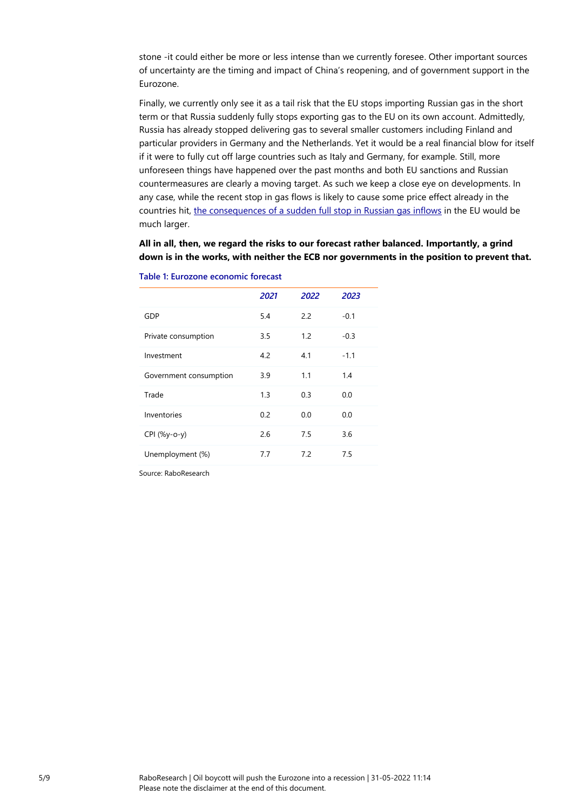stone -it could either be more or less intense than we currently foresee. Other important sources of uncertainty are the timing and impact of China's reopening, and of government support in the Eurozone.

Finally, we currently only see it as a tail risk that the EU stops importing Russian gas in the short term or that Russia suddenly fully stops exporting gas to the EU on its own account. Admittedly, Russia has already stopped delivering gas to several smaller customers including Finland and particular providers in Germany and the Netherlands. Yet it would be a real financial blow for itself if it were to fully cut off large countries such as Italy and Germany, for example. Still, more unforeseen things have happened over the past months and both EU sanctions and Russian countermeasures are clearly a moving target. As such we keep a close eye on developments. In any case, while the recent stop in gas flows is likely to cause some price effect already in the countries hit, [the consequences of a sudden full stop in Russian gas inflows](https://economics.rabobank.com/globalassets/documents/2022/scenario-study-russian-fossil-fuels-20220504.pdf) in the EU would be much larger.

**All in all, then, we regard the risks to our forecast rather balanced. Importantly, a grind down is in the works, with neither the ECB nor governments in the position to prevent that.** 

|                        | 2021 | 2022 | 2023   |
|------------------------|------|------|--------|
| GDP                    | 5.4  | 2.2  | $-0.1$ |
| Private consumption    | 3.5  | 1.2  | $-0.3$ |
| Investment             | 4.2  | 4.1  | $-1.1$ |
| Government consumption | 3.9  | 1.1  | 1.4    |
| Trade                  | 1.3  | 0.3  | 0.0    |
| Inventories            | 0.2  | 0.0  | 0.0    |
| CPI (%y-o-y)           | 2.6  | 7.5  | 3.6    |
| Unemployment (%)       | 7.7  | 7.2  | 7.5    |
|                        |      |      |        |

**Table 1: Eurozone economic forecast**

Source: RaboResearch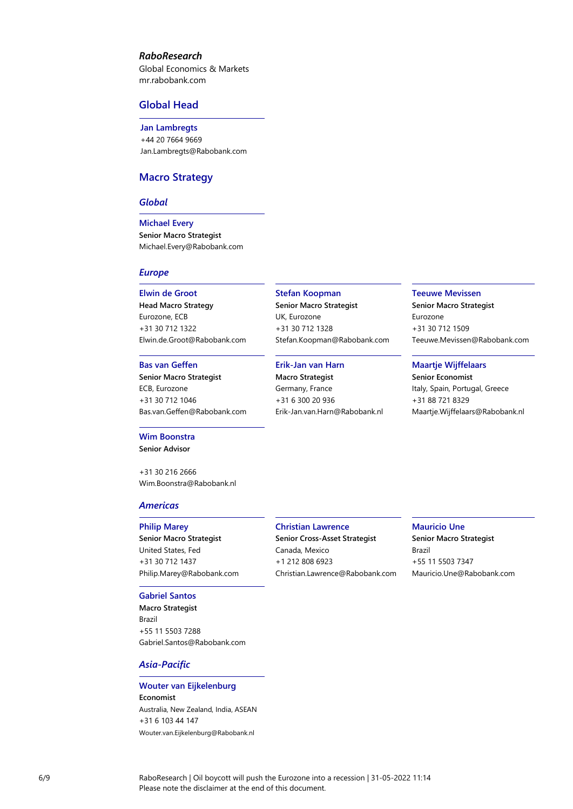#### *RaboResearch*

Global Economics & Markets [mr.rabobank.com](http://mr.rabobank.com/)

#### **Global Head**

**Jan Lambregts** +44 20 7664 9669 [Jan.Lambregts@Rabobank.com](mailto:Jan.Lambregts@Rabobank.com)

### **Macro Strategy**

#### *Global*

**Michael Every Senior Macro Strategist** [Michael.Every@Rabobank.com](mailto:Michael.Every@Rabobank.com)

#### *Europe*

#### **Elwin de Groot**

**Head Macro Strategy** Eurozone, ECB +31 30 712 1322 [Elwin.de.Groot@Rabobank.com](mailto:Elwin.de.Groot@Rabobank.com)

#### **Bas van Geffen**

**Senior Macro Strategist** ECB, Eurozone +31 30 712 1046 [Bas.van.Geffen@Rabobank.com](mailto:Bas.van.Geffen@Rabobank.com)

#### **Wim Boonstra**

**Senior Advisor**

+31 30 216 2666 [Wim.Boonstra@Rabobank.nl](mailto:Wim.Boonstra@Rabobank.nl)

#### *Americas*

#### **Philip Marey**

**Senior Macro Strategist** United States, Fed +31 30 712 1437 [Philip.Marey@Rabobank.com](mailto:Philip.Marey@Rabobank.com)

#### **Gabriel Santos**

**Macro Strategist** Brazil +55 11 5503 7288 [Gabriel.Santos@Rabobank.com](mailto:Gabriel.Santos@Rabobank.com)

#### *Asia-Pacific*

### **Wouter van Eijkelenburg Economist** Australia, New Zealand, India, ASEAN +31 6 103 44 147

Wouter.van.Eijkelenburg@Rabobank.nl

### **Stefan Koopman**

**Senior Macro Strategist** UK, Eurozone +31 30 712 1328 [Stefan.Koopman@Rabobank.com](mailto:Stefan.Koopman@Rabobank.com)

#### **Erik-Jan van Harn**

**Macro Strategist** Germany, France +31 6 300 20 936 [Erik-Jan.van.Harn@Rabobank.nl](mailto:Erik-Jan.van.Harn@Rabobank.nl)

#### **Teeuwe Mevissen**

**Senior Macro Strategist** Eurozone +31 30 712 1509 [Teeuwe.Mevissen@Rabobank.com](mailto:Teeuwe.Mevissen@Rabobank.com)

#### **Maartje Wijffelaars**

**Senior Economist** Italy, Spain, Portugal, Greece +31 88 721 8329 [Maartje.Wijffelaars@Rabobank.nl](mailto:Maartje.Wijffelaars@Rabobank.nl)

#### **Christian Lawrence**

**Senior Cross-Asset Strategist** Canada, Mexico +1 212 808 6923 [Christian.Lawrence@Rabobank.com](mailto:Christian.Lawrence@Rabobank.com) **Mauricio Une Senior Macro Strategist** Brazil +55 11 5503 7347 [Mauricio.Une@Rabobank.com](mailto:Mauricio.Une@Rabobank.com)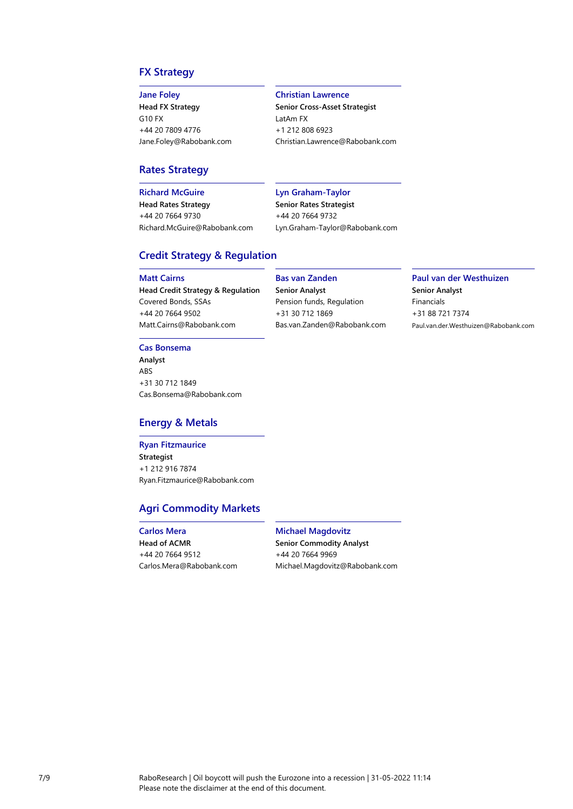## **FX Strategy**

#### **Jane Foley**

**Head FX Strategy** G10 FX +44 20 7809 4776 [Jane.Foley@Rabobank.com](mailto:Jane.Foley@Rabobank.com)

#### **Christian Lawrence**

**Senior Cross-Asset Strategist** LatAm FX +1 212 808 6923 [Christian.Lawrence@Rabobank.com](mailto:Christian.Lawrence@Rabobank.com)

#### **Rates Strategy**

**Richard McGuire**

**Head Rates Strategy** +44 20 7664 9730 [Richard.McGuire@Rabobank.com](mailto:Richard.McGuire@Rabobank.com)

#### **Lyn Graham-Taylor**

**Senior Rates Strategist** +44 20 7664 9732 [Lyn.Graham-Taylor@Rabobank.com](mailto:Lyn.Graham-Taylor@Rabobank.com)

#### **Credit Strategy & Regulation**

#### **Matt Cairns**

**Head Credit Strategy & Regulation** Covered Bonds, SSAs +44 20 7664 9502 [Matt.Cairns@Rabobank.com](mailto:Matt.Cairns@Rabobank.com)

#### **Cas Bonsema**

**Analyst** ABS +31 30 712 1849 [Cas.Bonsema@Rabobank.com](mailto:Cas.Bonsema@Rabobank.com)

#### **Energy & Metals**

#### **Ryan Fitzmaurice Strategist** +1 212 916 7874 [Ryan.Fitzmaurice@Rabobank.com](mailto:Ryan.Fitzmaurice@rabobank.com)

## **Agri Commodity Markets**

#### **Carlos Mera Head of ACMR** +44 20 7664 9512 [Carlos.Mera@Rabobank.com](mailto:Carlos.Mera@Rabobank.com)

**Bas van Zanden**

**Senior Analyst** Pension funds, Regulation +31 30 712 1869 [Bas.van.Zanden@Rabobank.com](mailto:Bas.van.Zanden@Rabobank.com)

#### **Paul van der Westhuizen Senior Analyst** Financials +31 88 721 7374 Paul.van.der.Westhuizen@Rabobank.com

**Michael Magdovitz Senior Commodity Analyst** +44 20 7664 9969 [Michael.Magdovitz@Rabobank.com](mailto:Michael.Magdovitz@Rabobank.com)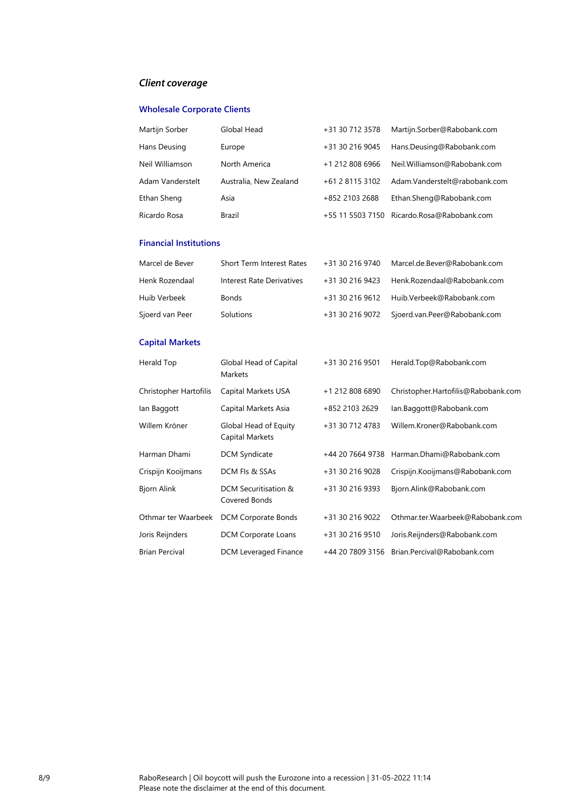## *Client coverage*

## **Wholesale Corporate Clients**

| Martijn Sorber   | Global Head            | +31 30 712 3578 | Martijn.Sorber@Rabobank.com                |
|------------------|------------------------|-----------------|--------------------------------------------|
| Hans Deusing     | Europe                 | +31 30 216 9045 | Hans.Deusing@Rabobank.com                  |
| Neil Williamson  | North America          | +1 212 808 6966 | Neil.Williamson@Rabobank.com               |
| Adam Vanderstelt | Australia, New Zealand | +61 2 8115 3102 | Adam.Vanderstelt@rabobank.com              |
| Ethan Sheng      | Asia                   | +852 2103 2688  | Ethan.Sheng@Rabobank.com                   |
| Ricardo Rosa     | Brazil                 |                 | +55 11 5503 7150 Ricardo.Rosa@Rabobank.com |

#### **Financial Institutions**

| Marcel de Bever | <b>Short Term Interest Rates</b> | +31 30 216 9740 | Marcel.de.Bever@Rabobank.com              |
|-----------------|----------------------------------|-----------------|-------------------------------------------|
| Henk Rozendaal  | Interest Rate Derivatives        | +31 30 216 9423 | Henk.Rozendaal@Rabobank.com               |
| Huib Verbeek    | <b>Bonds</b>                     |                 | +31 30 216 9612 Huib.Verbeek@Rabobank.com |
| Sjoerd van Peer | Solutions                        | +31 30 216 9072 | Sjoerd.van.Peer@Rabobank.com              |

## **Capital Markets**

| Herald Top             | Global Head of Capital<br>Markets        | +31 30 216 9501  | Herald.Top@Rabobank.com             |
|------------------------|------------------------------------------|------------------|-------------------------------------|
| Christopher Hartofilis | Capital Markets USA                      | +1 212 808 6890  | Christopher.Hartofilis@Rabobank.com |
| lan Baggott            | Capital Markets Asia                     | +852 2103 2629   | lan.Baggott@Rabobank.com            |
| Willem Kröner          | Global Head of Equity<br>Capital Markets | +31 30 712 4783  | Willem.Kroner@Rabobank.com          |
| Harman Dhami           | <b>DCM Syndicate</b>                     | +44 20 7664 9738 | Harman.Dhami@Rabobank.com           |
| Crispijn Kooijmans     | DCM FIs & SSAs                           | +31 30 216 9028  | Crispijn.Kooijmans@Rabobank.com     |
| <b>Bjorn Alink</b>     | DCM Securitisation &<br>Covered Bonds    | +31 30 216 9393  | Bjorn.Alink@Rabobank.com            |
| Othmar ter Waarbeek    | DCM Corporate Bonds                      | +31 30 216 9022  | Othmar.ter.Waarbeek@Rabobank.com    |
| Joris Reijnders        | <b>DCM Corporate Loans</b>               | +31 30 216 9510  | Joris.Reijnders@Rabobank.com        |
| <b>Brian Percival</b>  | DCM Leveraged Finance                    | +44 20 7809 3156 | Brian.Percival@Rabobank.com         |